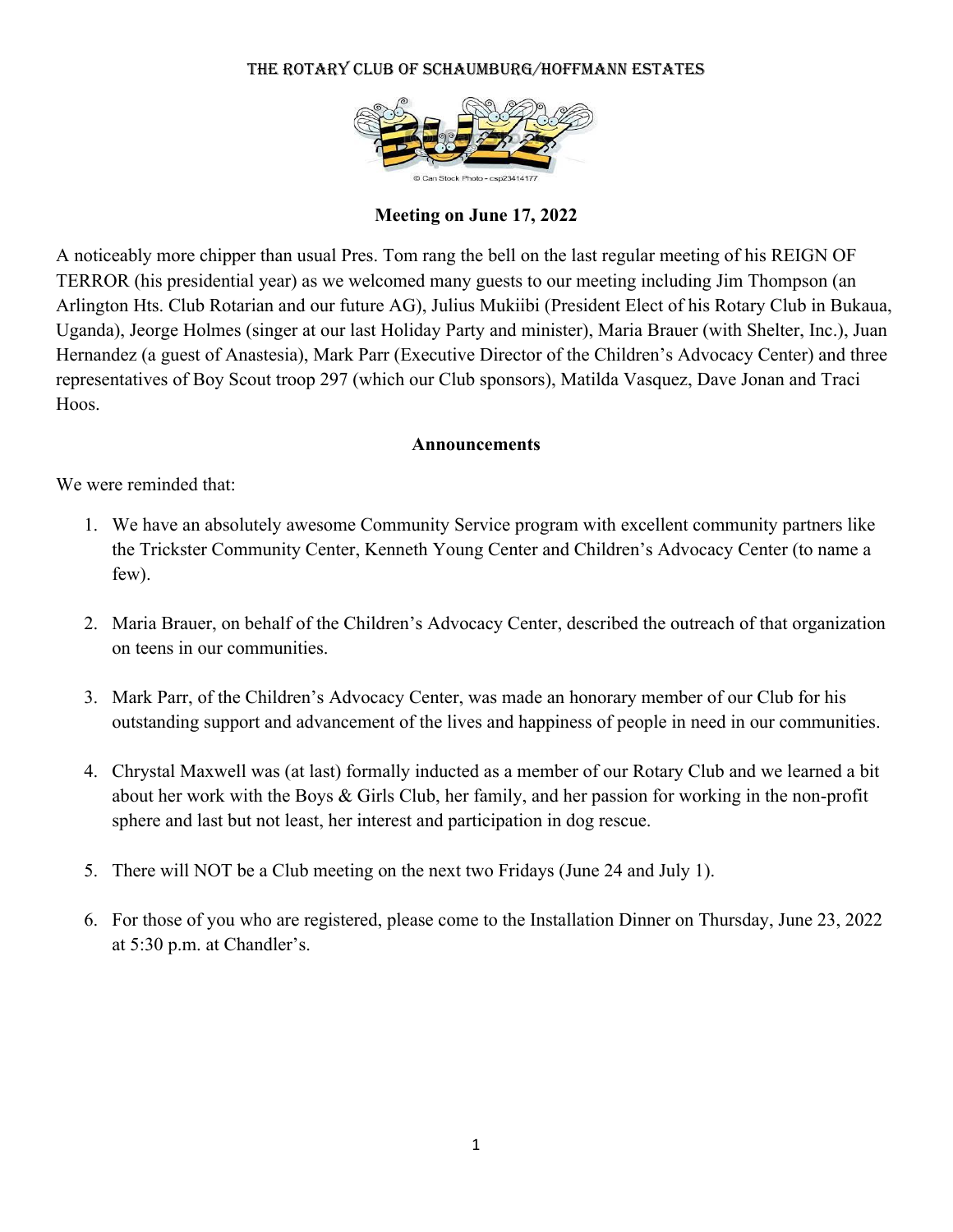### THE ROTARY CLUB OF SCHAUMBURG/HOFFMANN ESTATES



## **Meeting on June 17, 2022**

A noticeably more chipper than usual Pres. Tom rang the bell on the last regular meeting of his REIGN OF TERROR (his presidential year) as we welcomed many guests to our meeting including Jim Thompson (an Arlington Hts. Club Rotarian and our future AG), Julius Mukiibi (President Elect of his Rotary Club in Bukaua, Uganda), Jeorge Holmes (singer at our last Holiday Party and minister), Maria Brauer (with Shelter, Inc.), Juan Hernandez (a guest of Anastesia), Mark Parr (Executive Director of the Children's Advocacy Center) and three representatives of Boy Scout troop 297 (which our Club sponsors), Matilda Vasquez, Dave Jonan and Traci Hoos.

#### **Announcements**

We were reminded that:

- 1. We have an absolutely awesome Community Service program with excellent community partners like the Trickster Community Center, Kenneth Young Center and Children's Advocacy Center (to name a few).
- 2. Maria Brauer, on behalf of the Children's Advocacy Center, described the outreach of that organization on teens in our communities.
- 3. Mark Parr, of the Children's Advocacy Center, was made an honorary member of our Club for his outstanding support and advancement of the lives and happiness of people in need in our communities.
- 4. Chrystal Maxwell was (at last) formally inducted as a member of our Rotary Club and we learned a bit about her work with the Boys & Girls Club, her family, and her passion for working in the non-profit sphere and last but not least, her interest and participation in dog rescue.
- 5. There will NOT be a Club meeting on the next two Fridays (June 24 and July 1).
- 6. For those of you who are registered, please come to the Installation Dinner on Thursday, June 23, 2022 at 5:30 p.m. at Chandler's.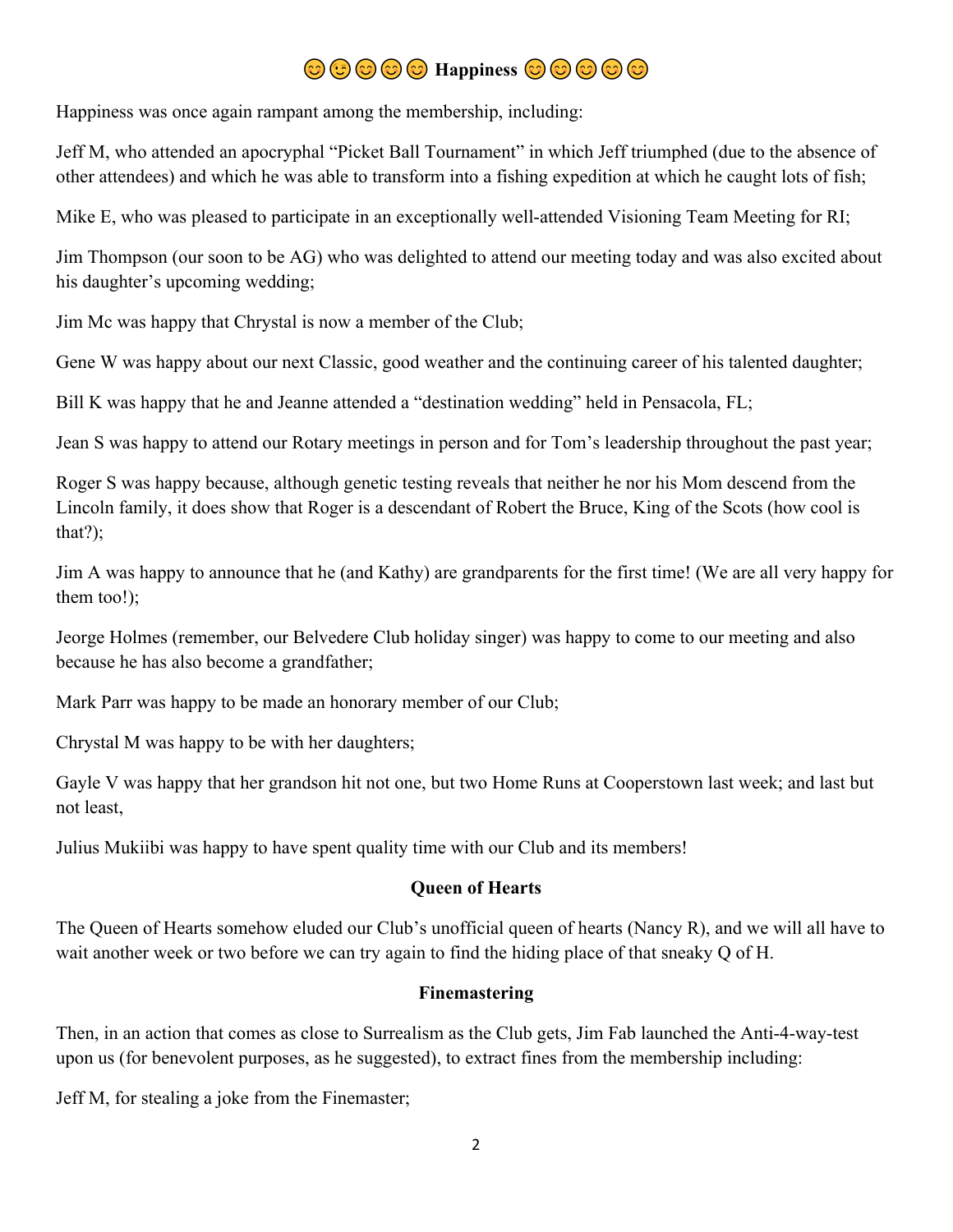# $\odot$   $\odot$   $\odot$   $\odot$   $\odot$   $\odot$   $\odot$   $\odot$   $\odot$

Happiness was once again rampant among the membership, including:

Jeff M, who attended an apocryphal "Picket Ball Tournament" in which Jeff triumphed (due to the absence of other attendees) and which he was able to transform into a fishing expedition at which he caught lots of fish;

Mike E, who was pleased to participate in an exceptionally well-attended Visioning Team Meeting for RI;

Jim Thompson (our soon to be AG) who was delighted to attend our meeting today and was also excited about his daughter's upcoming wedding;

Jim Mc was happy that Chrystal is now a member of the Club;

Gene W was happy about our next Classic, good weather and the continuing career of his talented daughter;

Bill K was happy that he and Jeanne attended a "destination wedding" held in Pensacola, FL;

Jean S was happy to attend our Rotary meetings in person and for Tom's leadership throughout the past year;

Roger S was happy because, although genetic testing reveals that neither he nor his Mom descend from the Lincoln family, it does show that Roger is a descendant of Robert the Bruce, King of the Scots (how cool is that?);

Jim A was happy to announce that he (and Kathy) are grandparents for the first time! (We are all very happy for them too!);

Jeorge Holmes (remember, our Belvedere Club holiday singer) was happy to come to our meeting and also because he has also become a grandfather;

Mark Parr was happy to be made an honorary member of our Club;

Chrystal M was happy to be with her daughters;

Gayle V was happy that her grandson hit not one, but two Home Runs at Cooperstown last week; and last but not least,

Julius Mukiibi was happy to have spent quality time with our Club and its members!

## **Queen of Hearts**

The Queen of Hearts somehow eluded our Club's unofficial queen of hearts (Nancy R), and we will all have to wait another week or two before we can try again to find the hiding place of that sneaky Q of H.

## **Finemastering**

Then, in an action that comes as close to Surrealism as the Club gets, Jim Fab launched the Anti-4-way-test upon us (for benevolent purposes, as he suggested), to extract fines from the membership including:

Jeff M, for stealing a joke from the Finemaster;